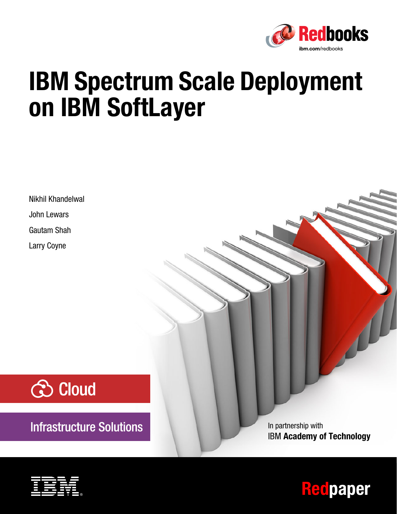

# **IBM Spectrum Scale Deployment on IBM SoftLayer**

Nikhil Khandelwal John Lewars Gautam Shah Larry Coyne



**Infrastructure Solutions** 

In partnership with IBM **Academy of Technology**



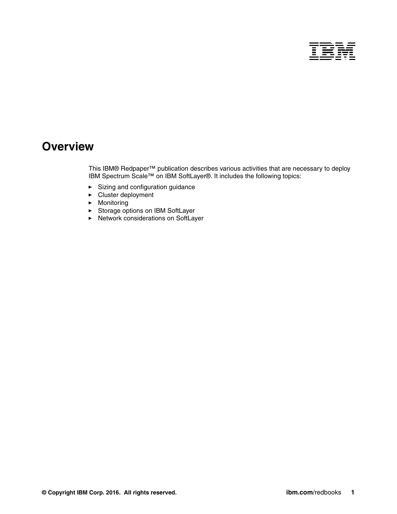

## **Overview**

This IBM® Redpaper™ publication describes various activities that are necessary to deploy IBM Spectrum Scale™ on IBM SoftLayer®. It includes the following topics:

- [Sizing and configuration guidance](#page-3-0)
- [Cluster deployment](#page-6-0)
- [Monitoring](#page-17-0)
- ► [Storage options on IBM SoftLayer](#page-18-0)
- [Network considerations on SoftLayer](#page-19-0)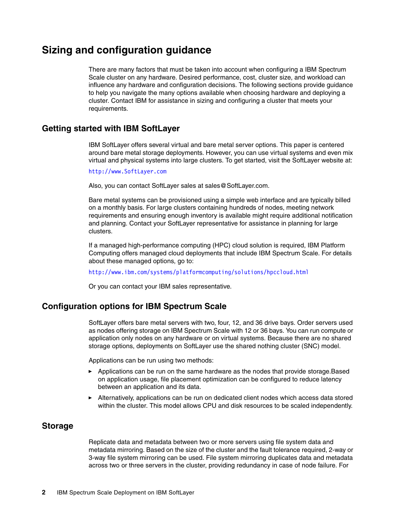## <span id="page-3-0"></span>**Sizing and configuration guidance**

There are many factors that must be taken into account when configuring a IBM Spectrum Scale cluster on any hardware. Desired performance, cost, cluster size, and workload can influence any hardware and configuration decisions. The following sections provide guidance to help you navigate the many options available when choosing hardware and deploying a cluster. Contact IBM for assistance in sizing and configuring a cluster that meets your requirements.

#### **Getting started with IBM SoftLayer**

IBM SoftLayer offers several virtual and bare metal server options. This paper is centered around bare metal storage deployments. However, you can use virtual systems and even mix virtual and physical systems into large clusters. To get started, visit the SoftLayer website at:

<http://www.SoftLayer.com>

Also, you can contact SoftLayer sales at sales@SoftLayer.com.

Bare metal systems can be provisioned using a simple web interface and are typically billed on a monthly basis. For large clusters containing hundreds of nodes, meeting network requirements and ensuring enough inventory is available might require additional notification and planning. Contact your SoftLayer representative for assistance in planning for large clusters.

If a managed high-performance computing (HPC) cloud solution is required, IBM Platform Computing offers managed cloud deployments that include IBM Spectrum Scale. For details about these managed options, go to:

<http://www.ibm.com/systems/platformcomputing/solutions/hpccloud.html>

Or you can contact your IBM sales representative.

#### **Configuration options for IBM Spectrum Scale**

SoftLayer offers bare metal servers with two, four, 12, and 36 drive bays. Order servers used as nodes offering storage on IBM Spectrum Scale with 12 or 36 bays. You can run compute or application only nodes on any hardware or on virtual systems. Because there are no shared storage options, deployments on SoftLayer use the shared nothing cluster (SNC) model.

Applications can be run using two methods:

- ► Applications can be run on the same hardware as the nodes that provide storage.Based on application usage, file placement optimization can be configured to reduce latency between an application and its data.
- Alternatively, applications can be run on dedicated client nodes which access data stored within the cluster. This model allows CPU and disk resources to be scaled independently.

#### **Storage**

Replicate data and metadata between two or more servers using file system data and metadata mirroring. Based on the size of the cluster and the fault tolerance required, 2-way or 3-way file system mirroring can be used. File system mirroring duplicates data and metadata across two or three servers in the cluster, providing redundancy in case of node failure. For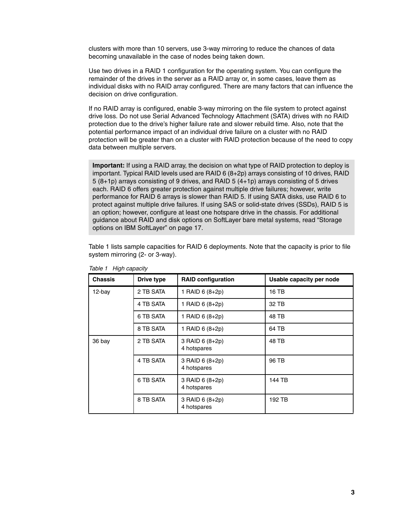clusters with more than 10 servers, use 3-way mirroring to reduce the chances of data becoming unavailable in the case of nodes being taken down.

Use two drives in a RAID 1 configuration for the operating system. You can configure the remainder of the drives in the server as a RAID array or, in some cases, leave them as individual disks with no RAID array configured. There are many factors that can influence the decision on drive configuration.

If no RAID array is configured, enable 3-way mirroring on the file system to protect against drive loss. Do not use Serial Advanced Technology Attachment (SATA) drives with no RAID protection due to the drive's higher failure rate and slower rebuild time. Also, note that the potential performance impact of an individual drive failure on a cluster with no RAID protection will be greater than on a cluster with RAID protection because of the need to copy data between multiple servers.

**Important:** If using a RAID array, the decision on what type of RAID protection to deploy is important. Typical RAID levels used are RAID 6 (8+2p) arrays consisting of 10 drives, RAID 5 (8+1p) arrays consisting of 9 drives, and RAID 5 (4+1p) arrays consisting of 5 drives each. RAID 6 offers greater protection against multiple drive failures; however, write performance for RAID 6 arrays is slower than RAID 5. If using SATA disks, use RAID 6 to protect against multiple drive failures. If using SAS or solid-state drives (SSDs), RAID 5 is an option; however, configure at least one hotspare drive in the chassis. For additional guidance about RAID and disk options on SoftLayer bare metal systems, read ["Storage](#page-18-0)  [options on IBM SoftLayer" on page 17.](#page-18-0)

[Table 1](#page-4-0) lists sample capacities for RAID 6 deployments. Note that the capacity is prior to file system mirroring (2- or 3-way).

| <b>Chassis</b> | Drive type | <b>RAID configuration</b>      | Usable capacity per node |
|----------------|------------|--------------------------------|--------------------------|
| 12-bay         | 2 TB SATA  | 1 RAID 6 (8+2p)                | 16 TB                    |
|                | 4 TB SATA  | 1 RAID 6 (8+2p)                | 32 TB                    |
|                | 6 TB SATA  | 1 RAID 6 (8+2p)                | 48 TB                    |
|                | 8 TB SATA  | 1 RAID 6 (8+2p)                | 64 TB                    |
| 36 bay         | 2 TB SATA  | 3 RAID 6 (8+2p)<br>4 hotspares | 48 TB                    |
|                | 4 TB SATA  | 3 RAID 6 (8+2p)<br>4 hotspares | 96 TB                    |
|                | 6 TB SATA  | 3 RAID 6 (8+2p)<br>4 hotspares | 144 TB                   |
|                | 8 TB SATA  | 3 RAID 6 (8+2p)<br>4 hotspares | 192 TB                   |

<span id="page-4-0"></span>Table 1 High capacity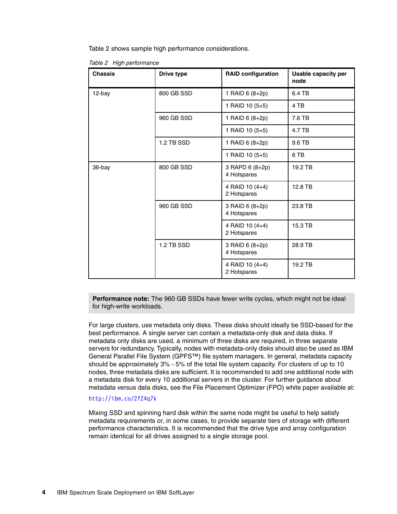[Table 2](#page-5-0) shows sample high performance considerations.

<span id="page-5-0"></span>Table 2 High performance

| <b>Chassis</b> | Drive type | <b>RAID configuration</b>      | <b>Usable capacity per</b><br>node |
|----------------|------------|--------------------------------|------------------------------------|
| 12-bay         | 800 GB SSD | 1 RAID 6 (8+2p)                | 6.4 TB                             |
|                |            | 1 RAID 10 (5+5)                | 4 TB                               |
|                | 960 GB SSD | 1 RAID 6 (8+2p)                | 7.6 TB                             |
|                |            | 1 RAID 10 (5+5)                | 4.7 TB                             |
|                | 1.2 TB SSD | 1 RAID 6 (8+2p)                | 9.6 TB                             |
|                |            | 1 RAID 10 (5+5)                | 6 TB                               |
| 36-bay         | 800 GB SSD | 3 RAPD 6 (8+2p)<br>4 Hotspares | 19.2 TB                            |
|                |            | 4 RAID 10 (4+4)<br>2 Hotspares | 12.8 TB                            |
|                | 960 GB SSD | 3 RAID 6 (8+2p)<br>4 Hotspares | 23.8 TB                            |
|                |            | 4 RAID 10 (4+4)<br>2 Hotspares | 15.3 TB                            |
|                | 1.2 TB SSD | 3 RAID 6 (8+2p)<br>4 Hotspares | 28.9 TB                            |
|                |            | 4 RAID 10 (4+4)<br>2 Hotspares | 19.2 TB                            |

**Performance note:** The 960 GB SSDs have fewer write cycles, which might not be ideal for high-write workloads.

For large clusters, use metadata only disks. These disks should ideally be SSD-based for the best performance. A single server can contain a metadata-only disk and data disks. If metadata only disks are used, a minimum of three disks are required, in three separate servers for redundancy. Typically, nodes with metadata-only disks should also be used as IBM General Parallel File System (GPFS™) file system managers. In general, metadata capacity should be approximately 3% - 5% of the total file system capacity. For clusters of up to 10 nodes, three metadata disks are sufficient. It is recommended to add one additional node with a metadata disk for every 10 additional servers in the cluster. For further guidance about metadata versus data disks, see the File Placement Optimizer (FPO) white paper available at:

#### <http://ibm.co/2fZ4q7k>

Mixing SSD and spinning hard disk within the same node might be useful to help satisfy metadata requirements or, in some cases, to provide separate tiers of storage with different performance characteristics. It is recommended that the drive type and array configuration remain identical for all drives assigned to a single storage pool.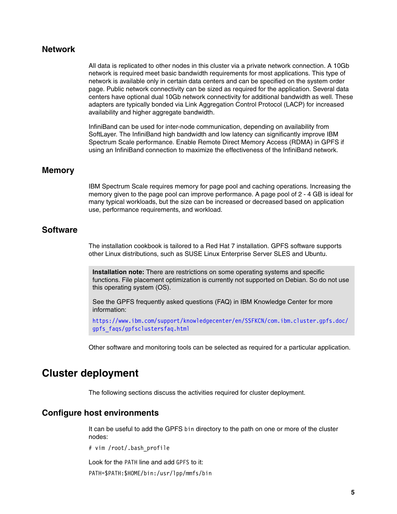#### **Network**

All data is replicated to other nodes in this cluster via a private network connection. A 10Gb network is required meet basic bandwidth requirements for most applications. This type of network is available only in certain data centers and can be specified on the system order page. Public network connectivity can be sized as required for the application. Several data centers have optional dual 10Gb network connectivity for additional bandwidth as well. These adapters are typically bonded via Link Aggregation Control Protocol (LACP) for increased availability and higher aggregate bandwidth.

InfiniBand can be used for inter-node communication, depending on availability from SoftLayer. The InfiniBand high bandwidth and low latency can significantly improve IBM Spectrum Scale performance. Enable Remote Direct Memory Access (RDMA) in GPFS if using an InfiniBand connection to maximize the effectiveness of the InfiniBand network.

#### **Memory**

IBM Spectrum Scale requires memory for page pool and caching operations. Increasing the memory given to the page pool can improve performance. A page pool of 2 - 4 GB is ideal for many typical workloads, but the size can be increased or decreased based on application use, performance requirements, and workload.

#### **Software**

The installation cookbook is tailored to a Red Hat 7 installation. GPFS software supports other Linux distributions, such as SUSE Linux Enterprise Server SLES and Ubuntu.

**Installation note:** There are restrictions on some operating systems and specific functions. File placement optimization is currently not supported on Debian. So do not use this operating system (OS).

See the GPFS frequently asked questions (FAQ) in IBM Knowledge Center for more information:

[https://www.ibm.com/support/knowledgecenter/en/SSFKCN/com.ibm.cluster.gpfs.doc/](https://www.ibm.com/support/knowledgecenter/en/SSFKCN/com.ibm.cluster.gpfs.doc/gpfs_faqs/gpfsclustersfaq.html) gpfs\_faqs/gpfsclustersfaq.html

Other software and monitoring tools can be selected as required for a particular application.

## <span id="page-6-0"></span>**Cluster deployment**

The following sections discuss the activities required for cluster deployment.

#### **Configure host environments**

It can be useful to add the GPFS bin directory to the path on one or more of the cluster nodes:

# vim /root/.bash\_profile

Look for the PATH line and add GPFS to it:

PATH=\$PATH:\$HOME/bin:/usr/lpp/mmfs/bin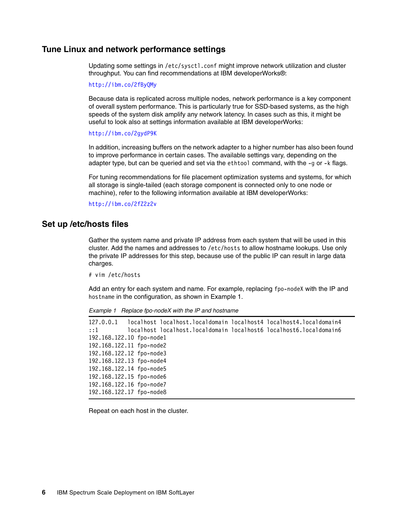#### **Tune Linux and network performance settings**

Updating some settings in /etc/sysctl.conf might improve network utilization and cluster throughput. You can find recommendations at IBM developerWorks®:

<http://ibm.co/2fByQMy>

Because data is replicated across multiple nodes, network performance is a key component of overall system performance. This is particularly true for SSD-based systems, as the high speeds of the system disk amplify any network latency. In cases such as this, it might be useful to look also at settings information available at IBM developerWorks:

<http://ibm.co/2gydP9K>

In addition, increasing buffers on the network adapter to a higher number has also been found to improve performance in certain cases. The available settings vary, depending on the adapter type, but can be queried and set via the ethtool command, with the -g or -k flags.

For tuning recommendations for file placement optimization systems and systems, for which all storage is single-tailed (each storage component is connected only to one node or machine), refer to the following information available at IBM developerWorks:

<http://ibm.co/2fZ2z2v>

#### **Set up /etc/hosts files**

Gather the system name and private IP address from each system that will be used in this cluster. Add the names and addresses to /etc/hosts to allow hostname lookups. Use only the private IP addresses for this step, because use of the public IP can result in large data charges.

# vim /etc/hosts

Add an entry for each system and name. For example, replacing fpo-nodeX with the IP and hostname in the configuration, as shown in [Example 1](#page-7-0).

<span id="page-7-0"></span>Example 1 Replace fpo-nodeX with the IP and hostname

127.0.0.1 localhost localhost.localdomain localhost4 localhost4.localdomain4 ::1 localhost localhost.localdomain localhost6 localhost6.localdomain6 192.168.122.10 fpo-node1 192.168.122.11 fpo-node2 192.168.122.12 fpo-node3 192.168.122.13 fpo-node4 192.168.122.14 fpo-node5 192.168.122.15 fpo-node6 192.168.122.16 fpo-node7 192.168.122.17 fpo-node8

Repeat on each host in the cluster.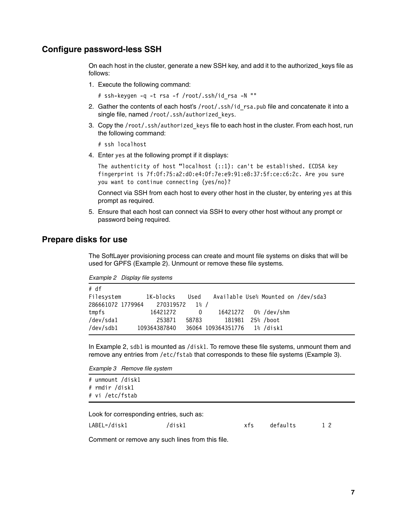#### **Configure password-less SSH**

On each host in the cluster, generate a new SSH key, and add it to the authorized\_keys file as follows:

1. Execute the following command:

# ssh-keygen -q -t rsa -f /root/.ssh/id\_rsa -N ""

- 2. Gather the contents of each host's /root/.ssh/id\_rsa.pub file and concatenate it into a single file, named /root/.ssh/authorized keys.
- 3. Copy the /root/.ssh/authorized keys file to each host in the cluster. From each host, run the following command:

# ssh localhost

4. Enter yes at the following prompt if it displays:

The authenticity of host "localhost (::1): can't be established. ECDSA key fingerprint is 7f:0f:75:a2:d0:e4:0f:7e:e9:91:e8:37:5f:ce:c6:2c. Are you sure you want to continue connecting (yes/no)?

Connect via SSH from each host to every other host in the cluster, by entering yes at this prompt as required.

5. Ensure that each host can connect via SSH to every other host without any prompt or password being required.

#### **Prepare disks for use**

The SoftLayer provisioning process can create and mount file systems on disks that will be used for GPFS ([Example 2\)](#page-8-0). Unmount or remove these file systems.

<span id="page-8-0"></span>

| Example 2 | Display file systems |  |
|-----------|----------------------|--|
|-----------|----------------------|--|

| # df              |              |         |                             |                                     |  |
|-------------------|--------------|---------|-----------------------------|-------------------------------------|--|
| Filesystem        | 1K-blocks    | Used    |                             | Available Use% Mounted on /dev/sda3 |  |
| 286661072 1779964 | 270319572    | $1\%$ / |                             |                                     |  |
| tmpfs             | 16421272     | 0       |                             | 16421272 0%/dev/shm                 |  |
| /dev/sda1         | 253871       | 58783   | 181981                      | 25% /boot                           |  |
| /dev/sdb1         | 109364387840 |         | 36064 109364351776 1%/disk1 |                                     |  |

In [Example 2](#page-8-0), sdb1 is mounted as /disk1. To remove these file systems, unmount them and remove any entries from /etc/fstab that corresponds to these file systems ([Example 3\)](#page-8-1).

<span id="page-8-1"></span>Example 3 Remove file system

|  |                | # unmount /disk1 |
|--|----------------|------------------|
|  | # rmdir /disk1 |                  |
|  |                | # vi /etc/fstab  |

Look for corresponding entries, such as:

LABEL=/disk1 /disk1 xfs defaults 1 2

Comment or remove any such lines from this file.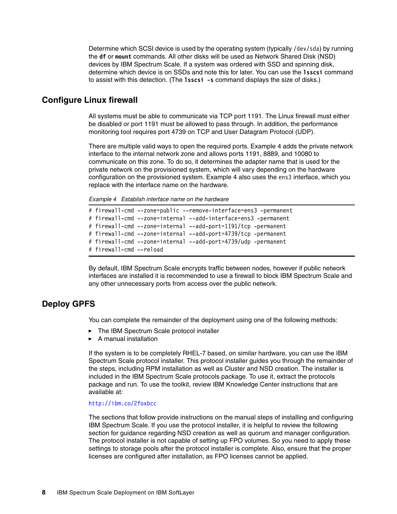Determine which SCSI device is used by the operating system (typically /dev/sda) by running the **df** or **mount** commands. All other disks will be used as Network Shared Disk (NSD) devices by IBM Spectrum Scale. If a system was ordered with SSD and spinning disk, determine which device is on SSDs and note this for later. You can use the **lsscsi** command to assist with this detection. (The **lsscsi -s** command displays the size of disks.)

#### **Configure Linux firewall**

All systems must be able to communicate via TCP port 1191. The Linux firewall must either be disabled or port 1191 must be allowed to pass through. In addition, the performance monitoring tool requires port 4739 on TCP and User Datagram Protocol (UDP).

There are multiple valid ways to open the required ports. [Example 4](#page-9-0) adds the private network interface to the internal network zone and allows ports 1191, 8889, and 10080 to communicate on this zone. To do so, it determines the adapter name that is used for the private network on the provisioned system, which will vary depending on the hardware configuration on the provisioned system. [Example 4](#page-9-0) also uses the ens3 interface, which you replace with the interface name on the hardware.

<span id="page-9-0"></span>Example 4 Establish interface name on the hardware

```
# firewall-cmd --zone=public --remove-interface=ens3 -permanent
# firewall-cmd --zone=internal --add-interface=ens3 -permanent
# firewall-cmd --zone=internal --add-port=1191/tcp -permanent
# firewall-cmd --zone=internal --add-port=4739/tcp -permanent
# firewall-cmd --zone=internal --add-port=4739/udp -permanent
# firewall-cmd --reload
```
By default, IBM Spectrum Scale encrypts traffic between nodes, however if public network interfaces are installed it is recommended to use a firewall to block IBM Spectrum Scale and any other unnecessary ports from access over the public network.

#### **Deploy GPFS**

You can complete the remainder of the deployment using one of the following methods:

- The IBM Spectrum Scale protocol installer
- A manual installation

If the system is to be completely RHEL-7 based, on similar hardware, you can use the IBM Spectrum Scale protocol installer. This protocol installer guides you through the remainder of the steps, including RPM installation as well as Cluster and NSD creation. The installer is included in the IBM Spectrum Scale protocols package. To use it, extract the protocols package and run. To use the toolkit, review IBM Knowledge Center instructions that are available at:

#### <http://ibm.co/2foxbcc>

The sections that follow provide instructions on the manual steps of installing and configuring IBM Spectrum Scale. If you use the protocol installer, it is helpful to review the following section for guidance regarding NSD creation as well as quorum and manager configuration. The protocol installer is not capable of setting up FPO volumes. So you need to apply these settings to storage pools after the protocol installer is complete. Also, ensure that the proper licenses are configured after installation, as FPO licenses cannot be applied.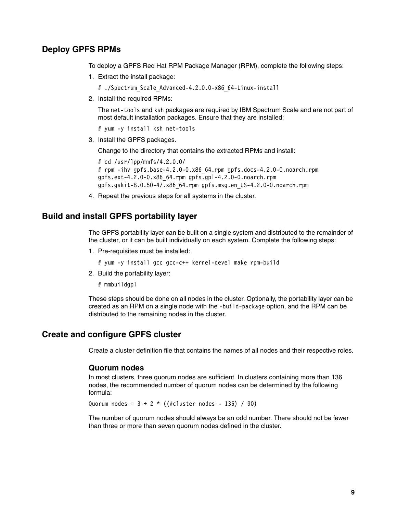#### **Deploy GPFS RPMs**

To deploy a GPFS Red Hat RPM Package Manager (RPM), complete the following steps:

1. Extract the install package:

```
# ./Spectrum_Scale_Advanced-4.2.0.0-x86_64-Linux-install
```
2. Install the required RPMs:

The net-tools and ksh packages are required by IBM Spectrum Scale and are not part of most default installation packages. Ensure that they are installed:

# yum -y install ksh net-tools

3. Install the GPFS packages.

Change to the directory that contains the extracted RPMs and install:

```
# cd /usr/lpp/mmfs/4.2.0.0/ 
# rpm -ihv gpfs.base-4.2.0-0.x86_64.rpm gpfs.docs-4.2.0-0.noarch.rpm 
gpfs.ext-4.2.0-0.x86_64.rpm gpfs.gpl-4.2.0-0.noarch.rpm 
gpfs.gskit-8.0.50-47.x86_64.rpm gpfs.msg.en_US-4.2.0-0.noarch.rpm
```
4. Repeat the previous steps for all systems in the cluster.

#### **Build and install GPFS portability layer**

The GPFS portability layer can be built on a single system and distributed to the remainder of the cluster, or it can be built individually on each system. Complete the following steps:

1. Pre-requisites must be installed:

# yum -y install gcc gcc-c++ kernel-devel make rpm-build

2. Build the portability layer:

# mmbuildgpl

These steps should be done on all nodes in the cluster. Optionally, the portability layer can be created as an RPM on a single node with the -build-package option, and the RPM can be distributed to the remaining nodes in the cluster.

#### **Create and configure GPFS cluster**

Create a cluster definition file that contains the names of all nodes and their respective roles.

#### **Quorum nodes**

In most clusters, three quorum nodes are sufficient. In clusters containing more than 136 nodes, the recommended number of quorum nodes can be determined by the following formula:

Quorum nodes =  $3 + 2 * ((\# \text{cluster nodes} - 135) / 90)$ 

The number of quorum nodes should always be an odd number. There should not be fewer than three or more than seven quorum nodes defined in the cluster.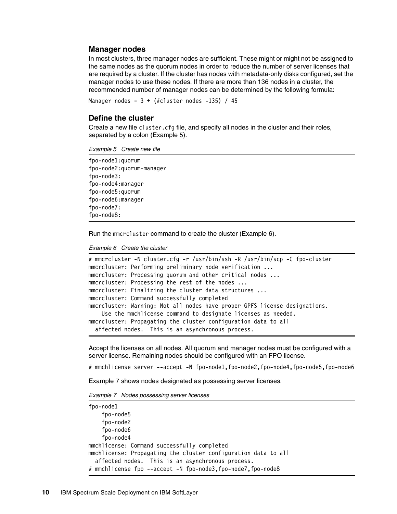#### **Manager nodes**

In most clusters, three manager nodes are sufficient. These might or might not be assigned to the same nodes as the quorum nodes in order to reduce the number of server licenses that are required by a cluster. If the cluster has nodes with metadata-only disks configured, set the manager nodes to use these nodes. If there are more than 136 nodes in a cluster, the recommended number of manager nodes can be determined by the following formula:

```
Manager nodes = 3 + (*c)uster nodes -135) / 45
```
#### **Define the cluster**

Create a new file cluster.cfg file, and specify all nodes in the cluster and their roles, separated by a colon [\(Example 5\)](#page-11-0).

<span id="page-11-0"></span>Example 5 Create new file

```
fpo-node1:quorum
fpo-node2:quorum-manager
fpo-node3:
fpo-node4:manager
fpo-node5:quorum
fpo-node6:manager
fpo-node7:
fpo-node8:
```
Run the mmcrcluster command to create the cluster ([Example 6](#page-11-1)).

<span id="page-11-1"></span>Example 6 Create the cluster

```
# mmcrcluster -N cluster.cfg -r /usr/bin/ssh -R /usr/bin/scp -C fpo-cluster
mmcrcluster: Performing preliminary node verification ...
mmcrcluster: Processing quorum and other critical nodes ...
mmcrcluster: Processing the rest of the nodes ...
mmcrcluster: Finalizing the cluster data structures ...
mmcrcluster: Command successfully completed
mmcrcluster: Warning: Not all nodes have proper GPFS license designations.
     Use the mmchlicense command to designate licenses as needed.
mmcrcluster: Propagating the cluster configuration data to all
   affected nodes. This is an asynchronous process.
```
Accept the licenses on all nodes. All quorum and manager nodes must be configured with a server license. Remaining nodes should be configured with an FPO license.

# mmchlicense server --accept -N fpo-node1,fpo-node2,fpo-node4,fpo-node5,fpo-node6

[Example 7](#page-11-2) shows nodes designated as possessing server licenses.

<span id="page-11-2"></span>Example 7 Nodes possessing server licenses

```
fpo-node1
     fpo-node5
     fpo-node2
     fpo-node6
     fpo-node4
mmchlicense: Command successfully completed
mmchlicense: Propagating the cluster configuration data to all
   affected nodes. This is an asynchronous process. 
# mmchlicense fpo --accept -N fpo-node3,fpo-node7,fpo-node8
```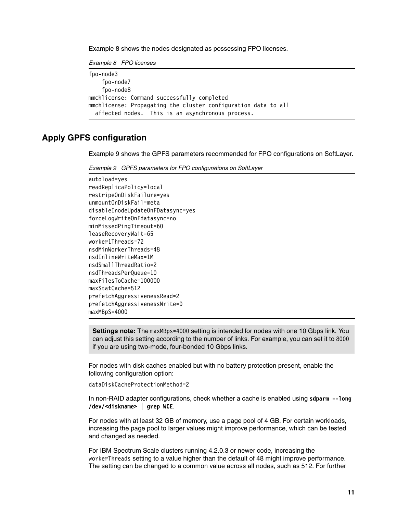[Example 8](#page-12-0) shows the nodes designated as possessing FPO licenses.

<span id="page-12-0"></span>Example 8 FPO licenses

```
fpo-node3
     fpo-node7
     fpo-node8
mmchlicense: Command successfully completed
mmchlicense: Propagating the cluster configuration data to all
   affected nodes. This is an asynchronous process.
```
#### **Apply GPFS configuration**

[Example 9](#page-12-1) shows the GPFS parameters recommended for FPO configurations on SoftLayer.

<span id="page-12-1"></span>Example 9 GPFS parameters for FPO configurations on SoftLayer

```
autoload=yes
readReplicaPolicy=local
restripeOnDiskFailure=yes
unmountOnDiskFail=meta
disableInodeUpdateOnFDatasync=yes
forceLogWriteOnFdatasync=no
minMissedPingTimeout=60
leaseRecoveryWait=65
worker1Threads=72
nsdMinWorkerThreads=48
nsdInlineWriteMax=1M
nsdSmallThreadRatio=2
nsdThreadsPerQueue=10
maxFilesToCache=100000
maxStatCache=512
prefetchAggressivenessRead=2
prefetchAggressivenessWrite=0
maxMBpS=4000
```
**Settings note:** The maxMBps=4000 setting is intended for nodes with one 10 Gbps link. You can adjust this setting according to the number of links. For example, you can set it to 8000 if you are using two-mode, four-bonded 10 Gbps links.

For nodes with disk caches enabled but with no battery protection present, enable the following configuration option:

dataDiskCacheProtectionMethod=2

In non-RAID adapter configurations, check whether a cache is enabled using **sdparm --long /dev/<diskname> | grep WCE**.

For nodes with at least 32 GB of memory, use a page pool of 4 GB. For certain workloads, increasing the page pool to larger values might improve performance, which can be tested and changed as needed.

For IBM Spectrum Scale clusters running 4.2.0.3 or newer code, increasing the workerThreads setting to a value higher than the default of 48 might improve performance. The setting can be changed to a common value across all nodes, such as 512. For further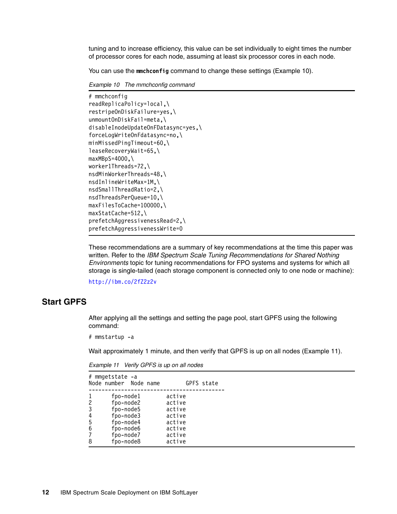tuning and to increase efficiency, this value can be set individually to eight times the number of processor cores for each node, assuming at least six processor cores in each node.

You can use the **mmchconfig** command to change these settings [\(Example 10](#page-13-0)).

<span id="page-13-0"></span>Example 10 The mmchconfig command

```
# mmchconfig 
readReplicaPolicy=local,\
restripeOnDiskFailure=yes,\
unmountOnDiskFail=meta,\
disableInodeUpdateOnFDatasync=yes,\
forceLogWriteOnFdatasync=no,\
minMissedPingTimeout=60,\
leaseRecoveryWait=65,\
maxMBpS=4000, \n\worker1Threads=72,\
nsdMinWorkerThreads=48,\
nsdInlineWriteMax=1M,\
nsdSmallThreadRatio=2,\
nsdThreadsPerQueue=10,\
maxFilesToCache=100000,\
maxStatCache=512,\
prefetchAggressivenessRead=2,\
prefetchAggressivenessWrite=0
```
These recommendations are a summary of key recommendations at the time this paper was written. Refer to the IBM Spectrum Scale Tuning Recommendations for Shared Nothing Environments topic for tuning recommendations for FPO systems and systems for which all storage is single-tailed (each storage component is connected only to one node or machine):

<http://ibm.co/2fZ2z2v>

#### **Start GPFS**

After applying all the settings and setting the page pool, start GPFS using the following command:

# mmstartup -a

Wait approximately 1 minute, and then verify that GPFS is up on all nodes [\(Example 11\)](#page-13-1).

| fpo-node1<br>active<br>fpo-node2<br>2<br>active<br>fpo-node5<br>3<br>active<br>4<br>fpo-node3<br>active<br>fpo-node4<br>5<br>active<br>6<br>fpo-node6<br>active<br>fpo-node7<br>active<br>7<br>fpo-node8<br>active<br>8 | # mmgetstate -a<br>Node number Node name |  |  | GPFS state |
|-------------------------------------------------------------------------------------------------------------------------------------------------------------------------------------------------------------------------|------------------------------------------|--|--|------------|
|                                                                                                                                                                                                                         |                                          |  |  |            |
|                                                                                                                                                                                                                         |                                          |  |  |            |
|                                                                                                                                                                                                                         |                                          |  |  |            |
|                                                                                                                                                                                                                         |                                          |  |  |            |
|                                                                                                                                                                                                                         |                                          |  |  |            |
|                                                                                                                                                                                                                         |                                          |  |  |            |
|                                                                                                                                                                                                                         |                                          |  |  |            |
|                                                                                                                                                                                                                         |                                          |  |  |            |

<span id="page-13-1"></span>Example 11 Verify GPFS is up on all nodes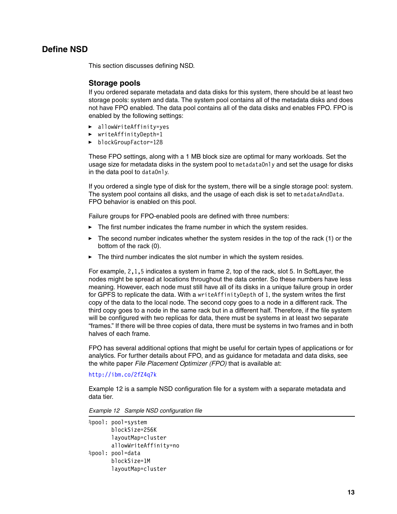#### **Define NSD**

This section discusses defining NSD.

#### **Storage pools**

If you ordered separate metadata and data disks for this system, there should be at least two storage pools: system and data. The system pool contains all of the metadata disks and does not have FPO enabled. The data pool contains all of the data disks and enables FPO. FPO is enabled by the following settings:

- allowWriteAffinity=yes
- writeAffinityDepth=1
- blockGroupFactor=128

These FPO settings, along with a 1 MB block size are optimal for many workloads. Set the usage size for metadata disks in the system pool to metadataOnly and set the usage for disks in the data pool to dataOnly.

If you ordered a single type of disk for the system, there will be a single storage pool: system. The system pool contains all disks, and the usage of each disk is set to metadataAndData. FPO behavior is enabled on this pool.

Failure groups for FPO-enabled pools are defined with three numbers:

- The first number indicates the frame number in which the system resides.
- $\blacktriangleright$  The second number indicates whether the system resides in the top of the rack (1) or the bottom of the rack (0).
- The third number indicates the slot number in which the system resides.

For example, 2,1,5 indicates a system in frame 2, top of the rack, slot 5. In SoftLayer, the nodes might be spread at locations throughout the data center. So these numbers have less meaning. However, each node must still have all of its disks in a unique failure group in order for GPFS to replicate the data. With a writeAffinityDepth of 1, the system writes the first copy of the data to the local node. The second copy goes to a node in a different rack. The third copy goes to a node in the same rack but in a different half. Therefore, if the file system will be configured with two replicas for data, there must be systems in at least two separate "frames." If there will be three copies of data, there must be systems in two frames and in both halves of each frame.

FPO has several additional options that might be useful for certain types of applications or for analytics. For further details about FPO, and as guidance for metadata and data disks, see the white paper File Placement Optimizer (FPO) that is available at:

#### <http://ibm.co/2fZ4q7k>

[Example 12](#page-14-0) is a sample NSD configuration file for a system with a separate metadata and data tier.

<span id="page-14-0"></span>Example 12 Sample NSD configuration file

```
%pool: pool=system
        blockSize=256K
        layoutMap=cluster
        allowWriteAffinity=no
%pool: pool=data
        blockSize=1M
        layoutMap=cluster
```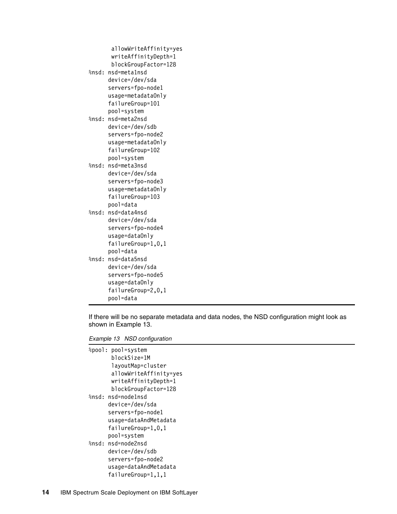```
 allowWriteAffinity=yes
        writeAffinityDepth=1
        blockGroupFactor=128 
%nsd: nsd=meta1nsd
       device=/dev/sda
       servers=fpo-node1
       usage=metadataOnly
       failureGroup=101
       pool=system
%nsd: nsd=meta2nsd
       device=/dev/sdb
       servers=fpo-node2
       usage=metadataOnly
       failureGroup=102
       pool=system
%nsd: nsd=meta3nsd
       device=/dev/sda
       servers=fpo-node3
       usage=metadataOnly
       failureGroup=103
       pool=data
%nsd: nsd=data4nsd
       device=/dev/sda
       servers=fpo-node4
       usage=dataOnly
       failureGroup=1,0,1
       pool=data
%nsd: nsd=data5nsd
       device=/dev/sda
       servers=fpo-node5
       usage=dataOnly
       failureGroup=2,0,1
       pool=data
```
If there will be no separate metadata and data nodes, the NSD configuration might look as shown in [Example 13.](#page-15-0)

<span id="page-15-0"></span>Example 13 NSD configuration

```
%pool: pool=system
        blockSize=1M
        layoutMap=cluster
        allowWriteAffinity=yes
        writeAffinityDepth=1
        blockGroupFactor=128 
%nsd: nsd=node1nsd
       device=/dev/sda
       servers=fpo-node1
       usage=dataAndMetadata
       failureGroup=1,0,1
       pool=system
%nsd: nsd=node2nsd
       device=/dev/sdb
       servers=fpo-node2
       usage=dataAndMetadata
       failureGroup=1,1,1
```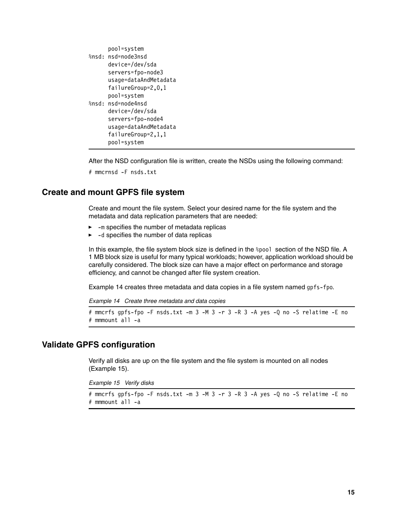```
 pool=system
%nsd: nsd=node3nsd
       device=/dev/sda
       servers=fpo-node3
       usage=dataAndMetadata
       failureGroup=2,0,1
       pool=system
%nsd: nsd=node4nsd
       device=/dev/sda
       servers=fpo-node4
       usage=dataAndMetadata
       failureGroup=2,1,1
       pool=system
```
After the NSD configuration file is written, create the NSDs using the following command:

```
# mmcrnsd -F nsds.txt
```
#### **Create and mount GPFS file system**

Create and mount the file system. Select your desired name for the file system and the metadata and data replication parameters that are needed:

- --m specifies the number of metadata replicas
- --d specifies the number of data replicas

In this example, the file system block size is defined in the %pool section of the NSD file. A 1 MB block size is useful for many typical workloads; however, application workload should be carefully considered. The block size can have a major effect on performance and storage efficiency, and cannot be changed after file system creation.

[Example 14](#page-16-0) creates three metadata and data copies in a file system named gpfs-fpo.

<span id="page-16-0"></span>Example 14 Create three metadata and data copies

```
# mmcrfs gpfs-fpo -F nsds.txt -m 3 -M 3 -r 3 -R 3 -A yes -Q no -S relatime -E no
# mmmount all -a
```
#### **Validate GPFS configuration**

Verify all disks are up on the file system and the file system is mounted on all nodes [\(Example 15\)](#page-16-1).

<span id="page-16-1"></span>Example 15 Verify disks

```
# mmcrfs gpfs-fpo -F nsds.txt -m 3 -M 3 -r 3 -R 3 -A yes -Q no -S relatime -E no
# mmmount all -a
```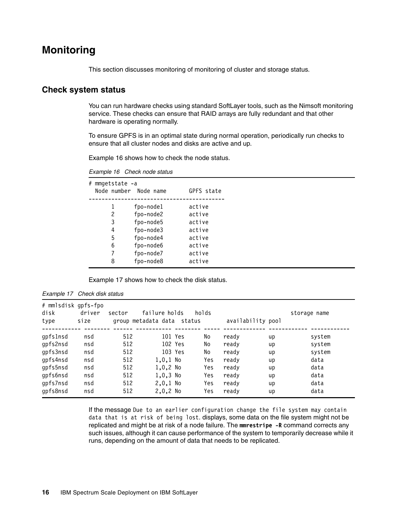## <span id="page-17-0"></span>**Monitoring**

This section discusses monitoring of monitoring of cluster and storage status.

#### **Check system status**

You can run hardware checks using standard SoftLayer tools, such as the Nimsoft monitoring service. These checks can ensure that RAID arrays are fully redundant and that other hardware is operating normally.

To ensure GPFS is in an optimal state during normal operation, periodically run checks to ensure that all cluster nodes and disks are active and up.

[Example 16](#page-17-1) shows how to check the node status.

<span id="page-17-1"></span>Example 16 Check node status

| # | mmgetstate -a<br>Node number Node name |           | GPFS state |
|---|----------------------------------------|-----------|------------|
|   | 1                                      | fpo-node1 | active     |
|   | 2                                      | fpo-node2 | active     |
|   | 3                                      | fpo-node5 | active     |
|   | 4                                      | fpo-node3 | active     |
|   | 5                                      | fpo-node4 | active     |
|   | 6                                      | fpo-node6 | active     |
|   | 7                                      | fpo-node7 | active     |
|   | 8                                      | fpo-node8 | active     |
|   |                                        |           |            |

[Example 17](#page-17-2) shows how to check the disk status.

| # mmlsdisk gpfs-fpo<br>disk<br>type | driver<br>size | sector | failure holds<br>group metadata data status | holds |       | availability pool | storage name |
|-------------------------------------|----------------|--------|---------------------------------------------|-------|-------|-------------------|--------------|
| qpfslnsd                            | nsd            | 512    | 101 Yes                                     | No    | ready | up                | system       |
| gpfs2nsd                            | nsd            | 512    | 102 Yes                                     | No    | ready | up                | system       |
| gpfs3nsd                            | nsd            | 512    | 103 Yes                                     | No    | ready | up                | system       |
| gpfs4nsd                            | nsd            | 512    | $1,0,1$ No                                  | Yes   | ready | up                | data         |
| gpfs5nsd                            | nsd            | 512    | $1,0,2$ No                                  | Yes   | ready | up                | data         |
| gpfs6nsd                            | nsd            | 512    | $1,0,3$ No                                  | Yes   | ready | up                | data         |
| gpfs7nsd                            | nsd            | 512    | $2,0,1$ No                                  | Yes   | ready | up                | data         |
| gpfs8nsd                            | nsd            | 512    | $2,0,2$ No                                  | Yes   | ready | up                | data         |

<span id="page-17-2"></span>

| Example 17 | Check disk status |  |  |
|------------|-------------------|--|--|
|------------|-------------------|--|--|

If the message Due to an earlier configuration change the file system may contain data that is at risk of being lost. displays, some data on the file system might not be replicated and might be at risk of a node failure. The **mmrestripe -R** command corrects any such issues, although it can cause performance of the system to temporarily decrease while it runs, depending on the amount of data that needs to be replicated.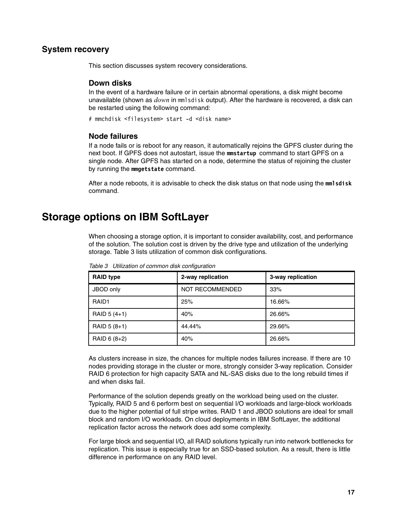#### **System recovery**

This section discusses system recovery considerations.

#### **Down disks**

In the event of a hardware failure or in certain abnormal operations, a disk might become unavailable (shown as *down* in mmlsdisk output). After the hardware is recovered, a disk can be restarted using the following command:

# mmchdisk <filesystem> start -d <disk name>

#### **Node failures**

If a node fails or is reboot for any reason, it automatically rejoins the GPFS cluster during the next boot. If GPFS does not autostart, issue the **mmstartup** command to start GPFS on a single node. After GPFS has started on a node, determine the status of rejoining the cluster by running the **mmgetstate** command.

After a node reboots, it is advisable to check the disk status on that node using the **mmlsdisk** command.

## <span id="page-18-0"></span>**Storage options on IBM SoftLayer**

When choosing a storage option, it is important to consider availability, cost, and performance of the solution. The solution cost is driven by the drive type and utilization of the underlying storage. [Table 3](#page-18-1) lists utilization of common disk configurations.

| <b>RAID type</b> | 2-way replication      | 3-way replication |
|------------------|------------------------|-------------------|
| JBOD only        | <b>NOT RECOMMENDED</b> | 33%               |
| RAID1            | 25%                    | 16.66%            |
| RAID 5 (4+1)     | 40%                    | 26.66%            |
| RAID 5 (8+1)     | 44.44%                 | 29.66%            |
| RAID 6 (8+2)     | 40%                    | 26.66%            |

<span id="page-18-1"></span>Table 3 Utilization of common disk configuration

As clusters increase in size, the chances for multiple nodes failures increase. If there are 10 nodes providing storage in the cluster or more, strongly consider 3-way replication. Consider RAID 6 protection for high capacity SATA and NL-SAS disks due to the long rebuild times if and when disks fail.

Performance of the solution depends greatly on the workload being used on the cluster. Typically, RAID 5 and 6 perform best on sequential I/O workloads and large-block workloads due to the higher potential of full stripe writes. RAID 1 and JBOD solutions are ideal for small block and random I/O workloads. On cloud deployments in IBM SoftLayer, the additional replication factor across the network does add some complexity.

For large block and sequential I/O, all RAID solutions typically run into network bottlenecks for replication. This issue is especially true for an SSD-based solution. As a result, there is little difference in performance on any RAID level.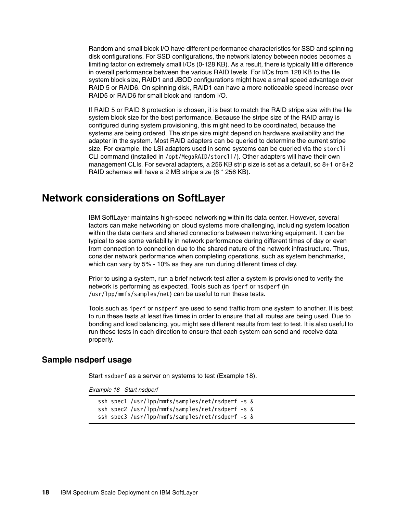Random and small block I/O have different performance characteristics for SSD and spinning disk configurations. For SSD configurations, the network latency between nodes becomes a limiting factor on extremely small I/Os (0-128 KB). As a result, there is typically little difference in overall performance between the various RAID levels. For I/Os from 128 KB to the file system block size, RAID1 and JBOD configurations might have a small speed advantage over RAID 5 or RAID6. On spinning disk, RAID1 can have a more noticeable speed increase over RAID5 or RAID6 for small block and random I/O.

If RAID 5 or RAID 6 protection is chosen, it is best to match the RAID stripe size with the file system block size for the best performance. Because the stripe size of the RAID array is configured during system provisioning, this might need to be coordinated, because the systems are being ordered. The stripe size might depend on hardware availability and the adapter in the system. Most RAID adapters can be queried to determine the current stripe size. For example, the LSI adapters used in some systems can be queried via the storcli CLI command (installed in /opt/MegaRAID/storcli/). Other adapters will have their own management CLIs. For several adapters, a 256 KB strip size is set as a default, so 8+1 or 8+2 RAID schemes will have a 2 MB stripe size (8 \* 256 KB).

### <span id="page-19-0"></span>**Network considerations on SoftLayer**

IBM SoftLayer maintains high-speed networking within its data center. However, several factors can make networking on cloud systems more challenging, including system location within the data centers and shared connections between networking equipment. It can be typical to see some variability in network performance during different times of day or even from connection to connection due to the shared nature of the network infrastructure. Thus, consider network performance when completing operations, such as system benchmarks, which can vary by 5% - 10% as they are run during different times of day.

Prior to using a system, run a brief network test after a system is provisioned to verify the network is performing as expected. Tools such as iperf or nsdperf (in /usr/lpp/mmfs/samples/net) can be useful to run these tests.

Tools such as iperf or nsdperf are used to send traffic from one system to another. It is best to run these tests at least five times in order to ensure that all routes are being used. Due to bonding and load balancing, you might see different results from test to test. It is also useful to run these tests in each direction to ensure that each system can send and receive data properly.

#### **Sample nsdperf usage**

Start nsdperf as a server on systems to test ([Example 18\)](#page-19-1).

<span id="page-19-1"></span>Example 18 Start nsdperf

ssh spec1 /usr/lpp/mmfs/samples/net/nsdperf -s & ssh spec2 /usr/lpp/mmfs/samples/net/nsdperf -s & ssh spec3 /usr/lpp/mmfs/samples/net/nsdperf -s &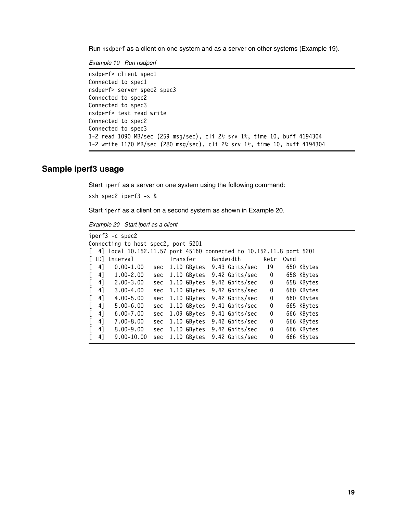Run nsdperf as a client on one system and as a server on other systems [\(Example 19\)](#page-20-0).

<span id="page-20-0"></span>Example 19 Run nsdperf

```
nsdperf> client spec1
Connected to spec1
nsdperf> server spec2 spec3
Connected to spec2
Connected to spec3
nsdperf> test read write
Connected to spec2
Connected to spec3
1-2 read 1090 MB/sec (259 msg/sec), cli 2% srv 1%, time 10, buff 4194304
1-2 write 1170 MB/sec (280 msg/sec), cli 2% srv 1%, time 10, buff 4194304
```
#### **Sample iperf3 usage**

Start iperf as a server on one system using the following command:

```
ssh spec2 iperf3 -s &
```
Start iperf as a client on a second system as shown in [Example 20](#page-20-1).

<span id="page-20-1"></span>Example 20 Start iperf as a client

|                                     | iperf3 -c spec2                                                     |     |          |             |  |                            |                         |      |            |  |
|-------------------------------------|---------------------------------------------------------------------|-----|----------|-------------|--|----------------------------|-------------------------|------|------------|--|
| Connecting to host spec2, port 5201 |                                                                     |     |          |             |  |                            |                         |      |            |  |
|                                     | 4] local 10.152.11.57 port 45160 connected to 10.152.11.8 port 5201 |     |          |             |  |                            |                         |      |            |  |
| L IDJ                               | Interval                                                            |     | Transfer |             |  | Bandwidth                  | Retr                    | Cwnd |            |  |
| 41                                  | $0.00 - 1.00$                                                       | sec |          |             |  | 1.10 GBytes 9.43 Gbits/sec | - 19                    |      | 650 KBytes |  |
| 4]                                  | $1.00 - 2.00$                                                       | sec |          |             |  | 1.10 GBytes 9.42 Gbits/sec | $\overline{\mathbf{0}}$ |      | 658 KBytes |  |
| 4]                                  | $2.00 - 3.00$                                                       | sec |          |             |  | 1.10 GBytes 9.42 Gbits/sec | 0                       |      | 658 KBytes |  |
| 41                                  | $3.00 - 4.00$                                                       | sec |          |             |  | 1.10 GBytes 9.42 Gbits/sec | 0                       |      | 660 KBytes |  |
| 4]                                  | $4.00 - 5.00$                                                       | sec |          |             |  | 1.10 GBytes 9.42 Gbits/sec | 0                       |      | 660 KBytes |  |
| 41                                  | $5.00 - 6.00$                                                       | sec |          |             |  | 1.10 GBytes 9.41 Gbits/sec | 0                       |      | 665 KBytes |  |
| 4]                                  | $6.00 - 7.00$                                                       | sec |          |             |  | 1.09 GBytes 9.41 Gbits/sec | 0                       |      | 666 KBytes |  |
| 4]                                  | $7.00 - 8.00$                                                       | sec |          |             |  | 1.10 GBytes 9.42 Gbits/sec | 0                       |      | 666 KBytes |  |
| 4]                                  | $8.00 - 9.00$                                                       | sec |          |             |  | 1.10 GBytes 9.42 Gbits/sec | 0                       |      | 666 KBytes |  |
| 41                                  | $9.00 - 10.00$                                                      | sec |          | 1.10 GBytes |  | 9.42 Gbits/sec             | 0                       |      | 666 KBytes |  |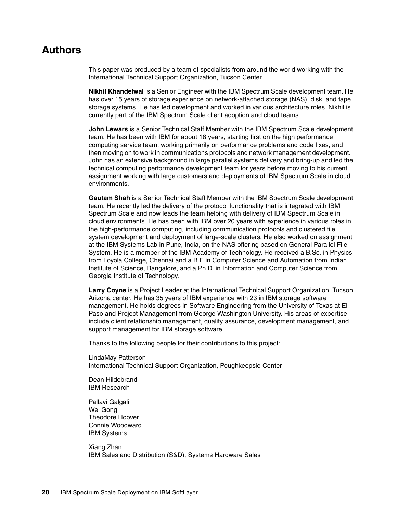## **Authors**

This paper was produced by a team of specialists from around the world working with the International Technical Support Organization, Tucson Center.

**Nikhil Khandelwal** is a Senior Engineer with the IBM Spectrum Scale development team. He has over 15 years of storage experience on network-attached storage (NAS), disk, and tape storage systems. He has led development and worked in various architecture roles. Nikhil is currently part of the IBM Spectrum Scale client adoption and cloud teams.

**John Lewars** is a Senior Technical Staff Member with the IBM Spectrum Scale development team. He has been with IBM for about 18 years, starting first on the high performance computing service team, working primarily on performance problems and code fixes, and then moving on to work in communications protocols and network management development. John has an extensive background in large parallel systems delivery and bring-up and led the technical computing performance development team for years before moving to his current assignment working with large customers and deployments of IBM Spectrum Scale in cloud environments.

**Gautam Shah** is a Senior Technical Staff Member with the IBM Spectrum Scale development team. He recently led the delivery of the protocol functionality that is integrated with IBM Spectrum Scale and now leads the team helping with delivery of IBM Spectrum Scale in cloud environments. He has been with IBM over 20 years with experience in various roles in the high-performance computing, including communication protocols and clustered file system development and deployment of large-scale clusters. He also worked on assignment at the IBM Systems Lab in Pune, India, on the NAS offering based on General Parallel File System. He is a member of the IBM Academy of Technology. He received a B.Sc. in Physics from Loyola College, Chennai and a B.E in Computer Science and Automation from Indian Institute of Science, Bangalore, and a Ph.D. in Information and Computer Science from Georgia Institute of Technology.

**Larry Coyne** is a Project Leader at the International Technical Support Organization, Tucson Arizona center. He has 35 years of IBM experience with 23 in IBM storage software management. He holds degrees in Software Engineering from the University of Texas at El Paso and Project Management from George Washington University. His areas of expertise include client relationship management, quality assurance, development management, and support management for IBM storage software.

Thanks to the following people for their contributions to this project:

LindaMay Patterson International Technical Support Organization, Poughkeepsie Center

Dean Hildebrand IBM Research

Pallavi Galgali Wei Gong Theodore Hoover Connie Woodward IBM Systems

Xiang Zhan IBM Sales and Distribution (S&D), Systems Hardware Sales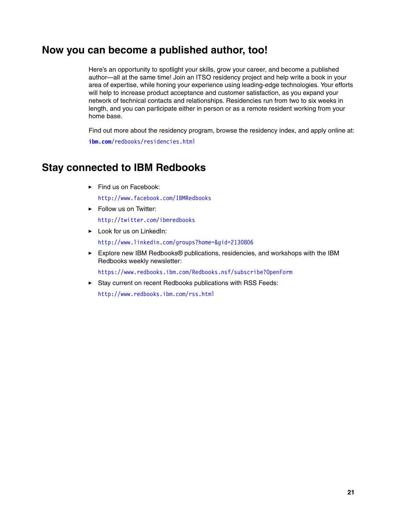## **Now you can become a published author, too!**

Here's an opportunity to spotlight your skills, grow your career, and become a published author—all at the same time! Join an ITSO residency project and help write a book in your area of expertise, while honing your experience using leading-edge technologies. Your efforts will help to increase product acceptance and customer satisfaction, as you expand your network of technical contacts and relationships. Residencies run from two to six weeks in length, and you can participate either in person or as a remote resident working from your home base.

Find out more about the residency program, browse the residency index, and apply online at:

**[ibm.com](http://www.redbooks.ibm.com/residencies.html)**[/redbooks/residencies.html](http://www.redbooks.ibm.com/residencies.html)

## **Stay connected to IBM Redbooks**

- Find us on Facebook:

<http://www.facebook.com/IBMRedbooks>

► Follow us on Twitter:

<http://twitter.com/ibmredbooks>

- **Example 1** Look for us on LinkedIn: <http://www.linkedin.com/groups?home=&gid=2130806>
- ► Explore new IBM Redbooks® publications, residencies, and workshops with the IBM Redbooks weekly newsletter:

<https://www.redbooks.ibm.com/Redbooks.nsf/subscribe?OpenForm>

► Stay current on recent Redbooks publications with RSS Feeds:

<http://www.redbooks.ibm.com/rss.html>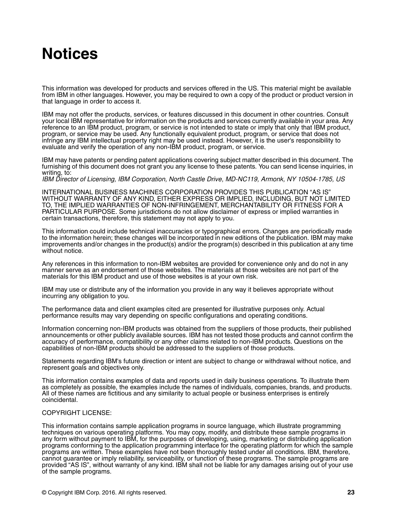## **Notices**

This information was developed for products and services offered in the US. This material might be available from IBM in other languages. However, you may be required to own a copy of the product or product version in that language in order to access it.

IBM may not offer the products, services, or features discussed in this document in other countries. Consult your local IBM representative for information on the products and services currently available in your area. Any reference to an IBM product, program, or service is not intended to state or imply that only that IBM product, program, or service may be used. Any functionally equivalent product, program, or service that does not infringe any IBM intellectual property right may be used instead. However, it is the user's responsibility to evaluate and verify the operation of any non-IBM product, program, or service.

IBM may have patents or pending patent applications covering subject matter described in this document. The furnishing of this document does not grant you any license to these patents. You can send license inquiries, in writing, to:

IBM Director of Licensing, IBM Corporation, North Castle Drive, MD-NC119, Armonk, NY 10504-1785, US

INTERNATIONAL BUSINESS MACHINES CORPORATION PROVIDES THIS PUBLICATION "AS IS" WITHOUT WARRANTY OF ANY KIND, EITHER EXPRESS OR IMPLIED, INCLUDING, BUT NOT LIMITED TO, THE IMPLIED WARRANTIES OF NON-INFRINGEMENT, MERCHANTABILITY OR FITNESS FOR A PARTICULAR PURPOSE. Some jurisdictions do not allow disclaimer of express or implied warranties in certain transactions, therefore, this statement may not apply to you.

This information could include technical inaccuracies or typographical errors. Changes are periodically made to the information herein; these changes will be incorporated in new editions of the publication. IBM may make improvements and/or changes in the product(s) and/or the program(s) described in this publication at any time without notice.

Any references in this information to non-IBM websites are provided for convenience only and do not in any manner serve as an endorsement of those websites. The materials at those websites are not part of the materials for this IBM product and use of those websites is at your own risk.

IBM may use or distribute any of the information you provide in any way it believes appropriate without incurring any obligation to you.

The performance data and client examples cited are presented for illustrative purposes only. Actual performance results may vary depending on specific configurations and operating conditions.

Information concerning non-IBM products was obtained from the suppliers of those products, their published announcements or other publicly available sources. IBM has not tested those products and cannot confirm the accuracy of performance, compatibility or any other claims related to non-IBM products. Questions on the capabilities of non-IBM products should be addressed to the suppliers of those products.

Statements regarding IBM's future direction or intent are subject to change or withdrawal without notice, and represent goals and objectives only.

This information contains examples of data and reports used in daily business operations. To illustrate them as completely as possible, the examples include the names of individuals, companies, brands, and products. All of these names are fictitious and any similarity to actual people or business enterprises is entirely coincidental.

#### COPYRIGHT LICENSE:

This information contains sample application programs in source language, which illustrate programming techniques on various operating platforms. You may copy, modify, and distribute these sample programs in any form without payment to IBM, for the purposes of developing, using, marketing or distributing application programs conforming to the application programming interface for the operating platform for which the sample programs are written. These examples have not been thoroughly tested under all conditions. IBM, therefore, cannot guarantee or imply reliability, serviceability, or function of these programs. The sample programs are provided "AS IS", without warranty of any kind. IBM shall not be liable for any damages arising out of your use of the sample programs.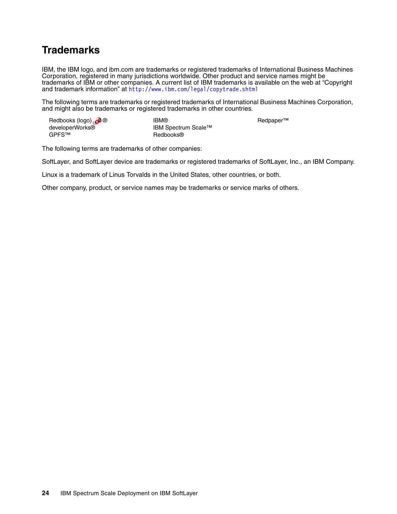## **Trademarks**

IBM, the IBM logo, and ibm.com are trademarks or registered trademarks of International Business Machines Corporation, registered in many jurisdictions worldwide. Other product and service names might be trademarks of IBM or other companies. A current list of IBM trademarks is available on the web at "Copyright and trademark information" at <http://www.ibm.com/legal/copytrade.shtml>

The following terms are trademarks or registered trademarks of International Business Machines Corporation, and might also be trademarks or registered trademarks in other countries.

| Redbooks (logo) | <b>IBM®</b>         | Redpaper <sup>™</sup> |
|-----------------|---------------------|-----------------------|
| developerWorks® | IBM Spectrum Scale™ |                       |
| GPFS™           | Redbooks®           |                       |

The following terms are trademarks of other companies:

SoftLayer, and SoftLayer device are trademarks or registered trademarks of SoftLayer, Inc., an IBM Company.

Linux is a trademark of Linus Torvalds in the United States, other countries, or both.

Other company, product, or service names may be trademarks or service marks of others.